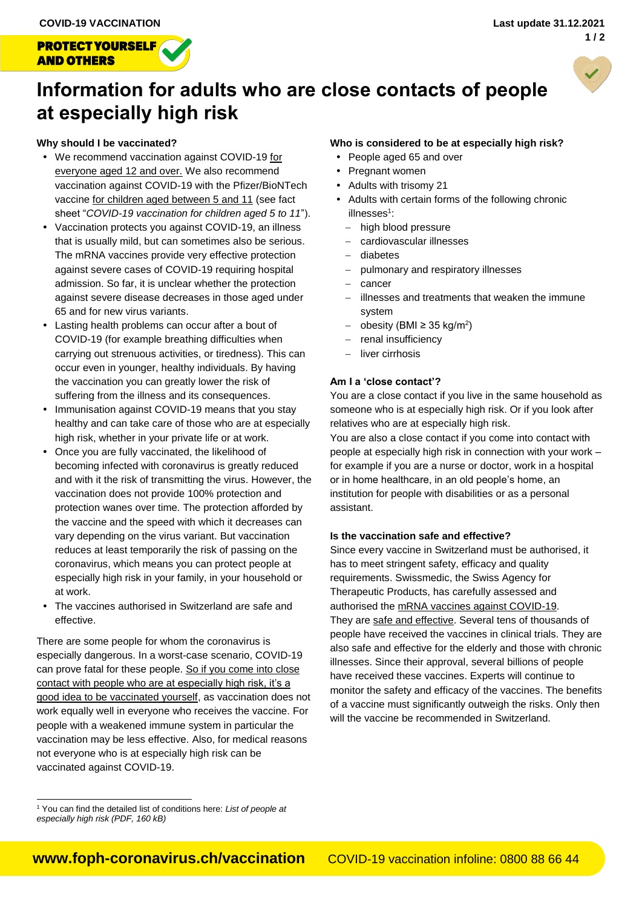**PROTECT YOURSELF** 

**AND OTHERS** 



# **Information for adults who are close contacts of people at especially high risk**

## **Why should I be vaccinated?**

- We recommend vaccination against COVID-19 for everyone aged 12 and over. We also recommend vaccination against COVID-19 with the Pfizer/BioNTech vaccine for children aged between 5 and 11 (see fact sheet "*[COVID-19 vaccination for children aged 5 to 11](https://www.bag.admin.ch/dam/bag/en/dokumente/mt/k-und-i/aktuelle-ausbrueche-pandemien/2019-nCoV/merkblatt-impfung-kinder.pdf.download.pdf/merkblatt-impfung-kinder.pdf)*").
- Vaccination protects you against COVID-19, an illness that is usually mild, but can sometimes also be serious. The mRNA vaccines provide very effective protection against severe cases of COVID-19 requiring hospital admission. So far, it is unclear whether the protection against severe disease decreases in those aged under 65 and for new virus variants.
- Lasting health problems can occur after a bout of COVID-19 (for example breathing difficulties when carrying out strenuous activities, or tiredness). This can occur even in younger, healthy individuals. By having the vaccination you can greatly lower the risk of suffering from the illness and its consequences.
- Immunisation against COVID-19 means that you stay healthy and can take care of those who are at especially high risk, whether in your private life or at work.
- Once you are fully vaccinated, the likelihood of becoming infected with coronavirus is greatly reduced and with it the risk of transmitting the virus. However, the vaccination does not provide 100% protection and protection wanes over time. The protection afforded by the vaccine and the speed with which it decreases can vary depending on the virus variant. But vaccination reduces at least temporarily the risk of passing on the coronavirus, which means you can protect people at especially high risk in your family, in your household or at work.
- The vaccines authorised in Switzerland are safe and effective.

There are some people for whom the coronavirus is especially dangerous. In a worst-case scenario, COVID-19 can prove fatal for these people. So if you come into close contact with people who are at especially high risk, it's a good idea to be vaccinated yourself, as vaccination does not work equally well in everyone who receives the vaccine. For people with a weakened immune system in particular the vaccination may be less effective. Also, for medical reasons not everyone who is at especially high risk can be vaccinated against COVID-19.

## **Who is considered to be at especially high risk?**

- People aged 65 and over
- Pregnant women
- Adults with trisomy 21
- Adults with certain forms of the following chronic illnesses<sup>1</sup>:
	- high blood pressure
	- cardiovascular illnesses
	- diabetes
	- pulmonary and respiratory illnesses
	- cancer
	- illnesses and treatments that weaken the immune system
	- $-$  obesity (BMI ≥ 35 kg/m<sup>2</sup>)
	- renal insufficiency
	- $-$  liver cirrhosis

## **Am I a 'close contact'?**

You are a close contact if you live in the same household as someone who is at especially high risk. Or if you look after relatives who are at especially high risk.

You are also a close contact if you come into contact with people at especially high risk in connection with your work – for example if you are a nurse or doctor, work in a hospital or in home healthcare, in an old people's home, an institution for people with disabilities or as a personal assistant.

## **Is the vaccination safe and effective?**

Since every vaccine in Switzerland must be authorised, it has to meet stringent safety, efficacy and quality requirements. Swissmedic, the Swiss Agency for Therapeutic Products, has carefully assessed and authorised the mRNA vaccines against COVID-19. They are safe and effective. Several tens of thousands of people have received the vaccines in clinical trials. They are also safe and effective for the elderly and those with chronic illnesses. Since their approval, several billions of people have received these vaccines. Experts will continue to monitor the safety and efficacy of the vaccines. The benefits of a vaccine must significantly outweigh the risks. Only then will the vaccine be recommended in Switzerland.

l <sup>1</sup> You can find the detailed list of conditions here: *[List of people at](https://www.bag.admin.ch/dam/bag/en/dokumente/mt/k-und-i/aktuelle-ausbrueche-pandemien/2019-nCoV/kategorien-besonders-gefaehrdete-personen.pdf.download.pdf/Categories%20of%20persons%20at%20high%20risk.pdf)  [especially high risk \(PDF, 160 kB\)](https://www.bag.admin.ch/dam/bag/en/dokumente/mt/k-und-i/aktuelle-ausbrueche-pandemien/2019-nCoV/kategorien-besonders-gefaehrdete-personen.pdf.download.pdf/Categories%20of%20persons%20at%20high%20risk.pdf)*